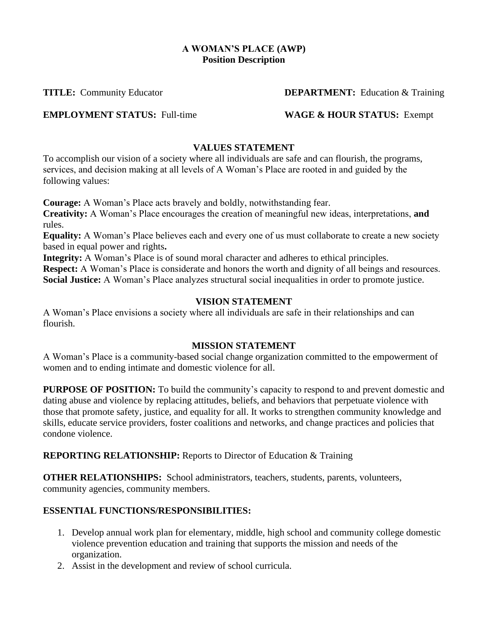### **A WOMAN'S PLACE (AWP) Position Description**

**TITLE:** Community Educator **DEPARTMENT:** Education & Training

**EMPLOYMENT STATUS:** Full-time **WAGE & HOUR STATUS:** Exempt

## **VALUES STATEMENT**

To accomplish our vision of a society where all individuals are safe and can flourish, the programs, services, and decision making at all levels of A Woman's Place are rooted in and guided by the following values:

**Courage:** A Woman's Place acts bravely and boldly, notwithstanding fear.

**Creativity:** A Woman's Place encourages the creation of meaningful new ideas, interpretations, **and**  rules.

**Equality:** A Woman's Place believes each and every one of us must collaborate to create a new society based in equal power and rights**.**

**Integrity:** A Woman's Place is of sound moral character and adheres to ethical principles. **Respect:** A Woman's Place is considerate and honors the worth and dignity of all beings and resources. **Social Justice:** A Woman's Place analyzes structural social inequalities in order to promote justice.

## **VISION STATEMENT**

A Woman's Place envisions a society where all individuals are safe in their relationships and can flourish.

# **MISSION STATEMENT**

A Woman's Place is a community-based social change organization committed to the empowerment of women and to ending intimate and domestic violence for all.

**PURPOSE OF POSITION:** To build the community's capacity to respond to and prevent domestic and dating abuse and violence by replacing attitudes, beliefs, and behaviors that perpetuate violence with those that promote safety, justice, and equality for all. It works to strengthen community knowledge and skills, educate service providers, foster coalitions and networks, and change practices and policies that condone violence.

**REPORTING RELATIONSHIP:** Reports to Director of Education & Training

**OTHER RELATIONSHIPS:** School administrators, teachers, students, parents, volunteers, community agencies, community members.

# **ESSENTIAL FUNCTIONS/RESPONSIBILITIES:**

- 1. Develop annual work plan for elementary, middle, high school and community college domestic violence prevention education and training that supports the mission and needs of the organization.
- 2. Assist in the development and review of school curricula.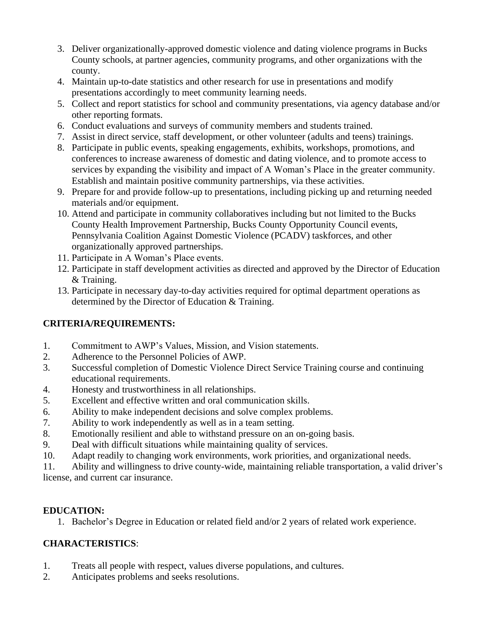- 3. Deliver organizationally-approved domestic violence and dating violence programs in Bucks County schools, at partner agencies, community programs, and other organizations with the county.
- 4. Maintain up-to-date statistics and other research for use in presentations and modify presentations accordingly to meet community learning needs.
- 5. Collect and report statistics for school and community presentations, via agency database and/or other reporting formats.
- 6. Conduct evaluations and surveys of community members and students trained.
- 7. Assist in direct service, staff development, or other volunteer (adults and teens) trainings.
- 8. Participate in public events, speaking engagements, exhibits, workshops, promotions, and conferences to increase awareness of domestic and dating violence, and to promote access to services by expanding the visibility and impact of A Woman's Place in the greater community. Establish and maintain positive community partnerships, via these activities.
- 9. Prepare for and provide follow-up to presentations, including picking up and returning needed materials and/or equipment.
- 10. Attend and participate in community collaboratives including but not limited to the Bucks County Health Improvement Partnership, Bucks County Opportunity Council events, Pennsylvania Coalition Against Domestic Violence (PCADV) taskforces, and other organizationally approved partnerships.
- 11. Participate in A Woman's Place events.
- 12. Participate in staff development activities as directed and approved by the Director of Education & Training.
- 13. Participate in necessary day-to-day activities required for optimal department operations as determined by the Director of Education & Training.

# **CRITERIA/REQUIREMENTS:**

- 1. Commitment to AWP's Values, Mission, and Vision statements.
- 2. Adherence to the Personnel Policies of AWP.
- 3. Successful completion of Domestic Violence Direct Service Training course and continuing educational requirements.
- 4. Honesty and trustworthiness in all relationships.
- 5. Excellent and effective written and oral communication skills.
- 6. Ability to make independent decisions and solve complex problems.
- 7. Ability to work independently as well as in a team setting.
- 8. Emotionally resilient and able to withstand pressure on an on-going basis.
- 9. Deal with difficult situations while maintaining quality of services.
- 10. Adapt readily to changing work environments, work priorities, and organizational needs.

11. Ability and willingness to drive county-wide, maintaining reliable transportation, a valid driver's license, and current car insurance.

# **EDUCATION:**

1. Bachelor's Degree in Education or related field and/or 2 years of related work experience.

# **CHARACTERISTICS**:

- 1. Treats all people with respect, values diverse populations, and cultures.
- 2. Anticipates problems and seeks resolutions.